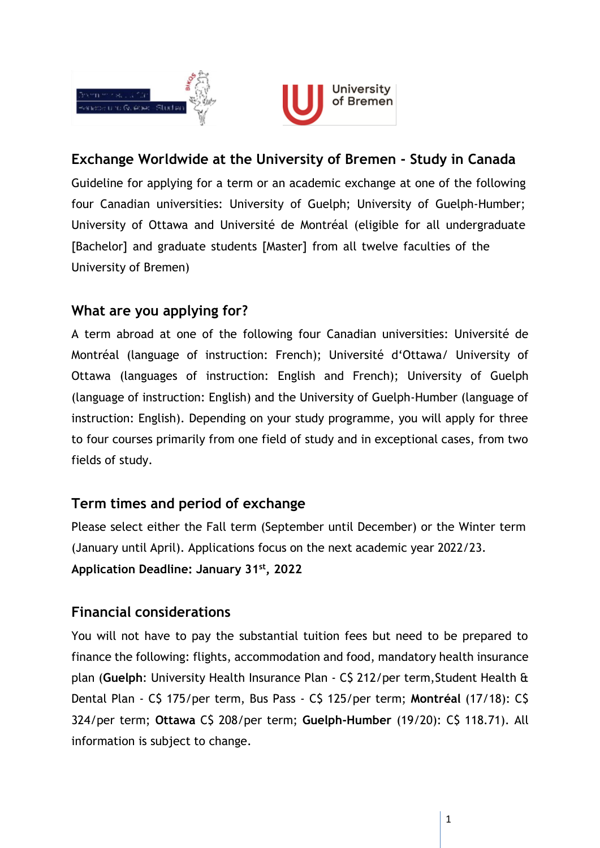



# **Exchange Worldwide at the University of Bremen - Study in Canada**

Guideline for applying for a term or an academic exchange at one of the following four Canadian universities: University of Guelph; University of Guelph-Humber; University of Ottawa and Université de Montréal (eligible for all undergraduate [Bachelor] and graduate students [Master] from all twelve faculties of the University of Bremen)

## **What are you applying for?**

A term abroad at one of the following four Canadian universities: Université de Montréal (language of instruction: French); Université d'Ottawa/ University of Ottawa (languages of instruction: English and French); University of Guelph (language of instruction: English) and the University of Guelph-Humber (language of instruction: English). Depending on your study programme, you will apply for three to four courses primarily from one field of study and in exceptional cases, from two fields of study.

## **Term times and period of exchange**

Please select either the Fall term (September until December) or the Winter term (January until April). Applications focus on the next academic year 2022/23. **Application Deadline: January 31st , 2022**

## **Financial considerations**

You will not have to pay the substantial tuition fees but need to be prepared to finance the following: flights, accommodation and food, mandatory health insurance plan (**Guelph**: University Health Insurance Plan - C\$ 212/per term,Student Health & Dental Plan - C\$ 175/per term, Bus Pass - C\$ 125/per term; **Montréal** (17/18): C\$ 324/per term; **Ottawa** C\$ 208/per term; **Guelph-Humber** (19/20): C\$ 118.71). All information is subject to change.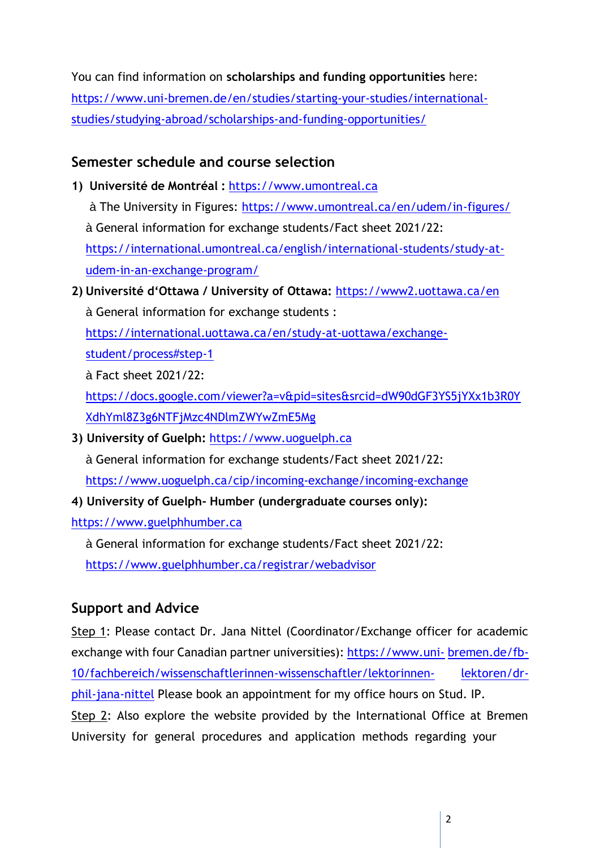You can find information on **scholarships and funding opportunities** here: [https://www.uni-bremen.de/en/studies/starting-your-studies/international](https://www.uni-bremen.de/en/studies/starting-your-studies/international-studies/studying-abroad/scholarships-and-funding-opportunities/)[studies/studying-abroad/scholarships-and-funding-opportunities/](https://www.uni-bremen.de/en/studies/starting-your-studies/international-studies/studying-abroad/scholarships-and-funding-opportunities/)

## **Semester schedule and course selection**

- **1) Université de Montréal :** [https://www.umontreal.ca](https://www.umontreal.ca/)
	- à The University in Figures:<https://www.umontreal.ca/en/udem/in-figures/> à General information for exchange students/Fact sheet 2021/22: [https://international.umontreal.ca/english/international-students/study-at](https://international.umontreal.ca/english/international-students/study-at-udem-in-an-exchange-program/)[udem-in-an-exchange-program/](https://international.umontreal.ca/english/international-students/study-at-udem-in-an-exchange-program/)
- **2) Université d'Ottawa / University of Ottawa:** <https://www2.uottawa.ca/en> à General information for exchange students :

[https://international.uottawa.ca/en/study-at-uottawa/exchange-](https://international.uottawa.ca/en/study-at-uottawa/exchange-student/process#step-1)

[student/process#step-1](https://international.uottawa.ca/en/study-at-uottawa/exchange-student/process#step-1)

à Fact sheet 2021/22:

[https://docs.google.com/viewer?a=v&pid=sites&srcid=dW90dGF3YS5jYXx1b3R0Y](https://docs.google.com/viewer?a=v&pid=sites&srcid=dW90dGF3YS5jYXx1b3R0YXdhYml8Z3g6NTFjMzc4NDlmZWYwZmE5Mg) [XdhYml8Z3g6NTFjMzc4NDlmZWYwZmE5Mg](https://docs.google.com/viewer?a=v&pid=sites&srcid=dW90dGF3YS5jYXx1b3R0YXdhYml8Z3g6NTFjMzc4NDlmZWYwZmE5Mg)

**3) University of Guelph:** [https://www.uoguelph.ca](https://www.uoguelph.ca/)

à General information for exchange students/Fact sheet 2021/22:

<https://www.uoguelph.ca/cip/incoming-exchange/incoming-exchange>

**4) University of Guelph- Humber (undergraduate courses only):**

[https://www.guelphhumber.ca](https://www.guelphhumber.ca/)

à General information for exchange students/Fact sheet 2021/22:

<https://www.guelphhumber.ca/registrar/webadvisor>

## **Support and Advice**

Step 1: Please contact Dr. Jana Nittel (Coordinator/Exchange officer for academic exchange with four Canadian partner universities): [https://www.uni-](https://www.uni-bremen.de/fb-10/fachbereich/wissenschaftlerinnen-wissenschaftler/lektorinnen-lektoren/dr-phil-jana-nittel)[bremen.de/fb-](https://www.uni-bremen.de/fb-10/fachbereich/wissenschaftlerinnen-wissenschaftler/lektorinnen-lektoren/dr-phil-jana-nittel)[10/fachbereich/wissenschaftlerinnen-wissenschaftler/lektorinnen-](https://www.uni-bremen.de/fb-10/fachbereich/wissenschaftlerinnen-wissenschaftler/lektorinnen-lektoren/dr-phil-jana-nittel) [lektoren/dr](https://www.uni-bremen.de/fb-10/fachbereich/wissenschaftlerinnen-wissenschaftler/lektorinnen-lektoren/dr-phil-jana-nittel)[phil-jana-nittel](https://www.uni-bremen.de/fb-10/fachbereich/wissenschaftlerinnen-wissenschaftler/lektorinnen-lektoren/dr-phil-jana-nittel) Please book an appointment for my office hours on Stud. IP. Step 2: Also explore the website provided by the International Office at Bremen University for general procedures and application methods regarding your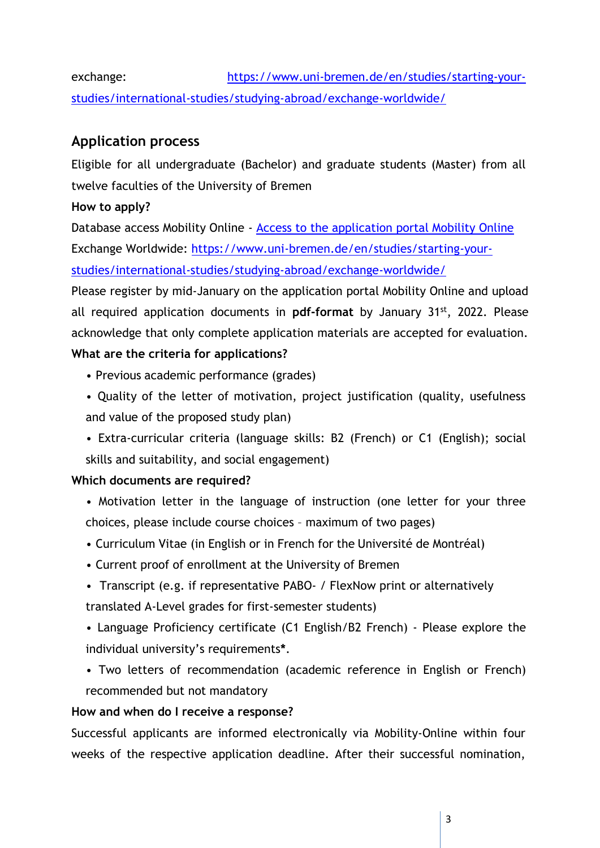exchange: [https://www.uni-bremen.de/en/studies/starting-your](https://www.uni-bremen.de/en/studies/starting-your-studies/international-studies/studying-abroad/exchange-worldwide/)[studies/international-studies/studying-abroad/exchange-worldwide/](https://www.uni-bremen.de/en/studies/starting-your-studies/international-studies/studying-abroad/exchange-worldwide/)

## **Application process**

Eligible for all undergraduate (Bachelor) and graduate students (Master) from all twelve faculties of the University of Bremen

#### **How to apply?**

Database access Mobility Online - [Access to the application portal Mobility Online](https://www.service4mobility.com/europe/BewerbungServlet?identifier=bremen573625&kz_bew_pers=S&kz_bew_art=OUT&aust_prog=PI&sprache=de) Exchange Worldwide: [https://www.uni-bremen.de/en/studies/starting-your](https://www.uni-bremen.de/en/studies/starting-your-studies/international-studies/studying-abroad/exchange-worldwide/)[studies/international-studies/studying-abroad/exchange-worldwide/](https://www.uni-bremen.de/en/studies/starting-your-studies/international-studies/studying-abroad/exchange-worldwide/)

Please register by mid-January on the application portal Mobility Online and upload all required application documents in **pdf-format** by January 31st, 2022. Please acknowledge that only complete application materials are accepted for evaluation. **What are the criteria for applications?**

- Previous academic performance (grades)
- Quality of the letter of motivation, project justification (quality, usefulness and value of the proposed study plan)
- Extra-curricular criteria (language skills: B2 (French) or C1 (English); social skills and suitability, and social engagement)

#### **Which documents are required?**

- Motivation letter in the language of instruction (one letter for your three choices, please include course choices – maximum of two pages)
- Curriculum Vitae (in English or in French for the Université de Montréal)
- Current proof of enrollment at the University of Bremen
- Transcript (e.g. if representative PABO- / FlexNow print or alternatively translated A-Level grades for first-semester students)
- Language Proficiency certificate (C1 English/B2 French) Please explore the individual university's requirements**\***.
- Two letters of recommendation (academic reference in English or French) recommended but not mandatory

#### **How and when do I receive a response?**

Successful applicants are informed electronically via Mobility-Online within four weeks of the respective application deadline. After their successful nomination,